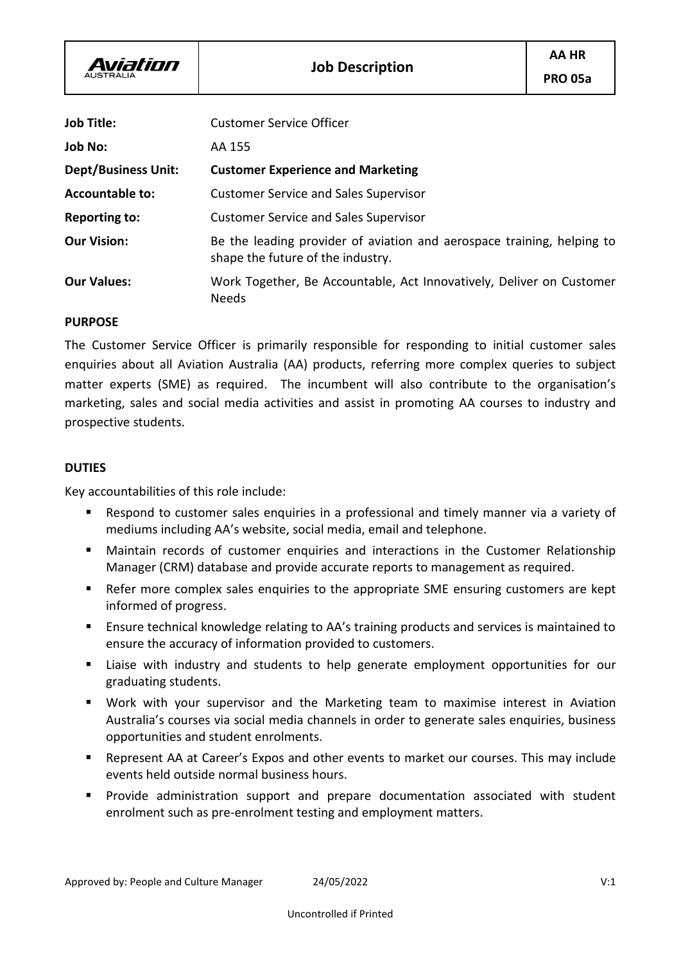Aviation

| <b>Job Title:</b>          | <b>Customer Service Officer</b>                                                                             |
|----------------------------|-------------------------------------------------------------------------------------------------------------|
| <b>Job No:</b>             | AA 155                                                                                                      |
| <b>Dept/Business Unit:</b> | <b>Customer Experience and Marketing</b>                                                                    |
| <b>Accountable to:</b>     | <b>Customer Service and Sales Supervisor</b>                                                                |
| <b>Reporting to:</b>       | <b>Customer Service and Sales Supervisor</b>                                                                |
| <b>Our Vision:</b>         | Be the leading provider of aviation and aerospace training, helping to<br>shape the future of the industry. |
| <b>Our Values:</b>         | Work Together, Be Accountable, Act Innovatively, Deliver on Customer<br><b>Needs</b>                        |

#### **PURPOSE**

The Customer Service Officer is primarily responsible for responding to initial customer sales enquiries about all Aviation Australia (AA) products, referring more complex queries to subject matter experts (SME) as required. The incumbent will also contribute to the organisation's marketing, sales and social media activities and assist in promoting AA courses to industry and prospective students.

# **DUTIES**

Key accountabilities of this role include:

- Respond to customer sales enquiries in a professional and timely manner via a variety of mediums including AA's website, social media, email and telephone.
- **■** Maintain records of customer enquiries and interactions in the Customer Relationship Manager (CRM) database and provide accurate reports to management as required.
- Refer more complex sales enquiries to the appropriate SME ensuring customers are kept informed of progress.
- Ensure technical knowledge relating to AA's training products and services is maintained to ensure the accuracy of information provided to customers.
- Liaise with industry and students to help generate employment opportunities for our graduating students.
- Work with your supervisor and the Marketing team to maximise interest in Aviation Australia's courses via social media channels in order to generate sales enquiries, business opportunities and student enrolments.
- Represent AA at Career's Expos and other events to market our courses. This may include events held outside normal business hours.
- Provide administration support and prepare documentation associated with student enrolment such as pre-enrolment testing and employment matters.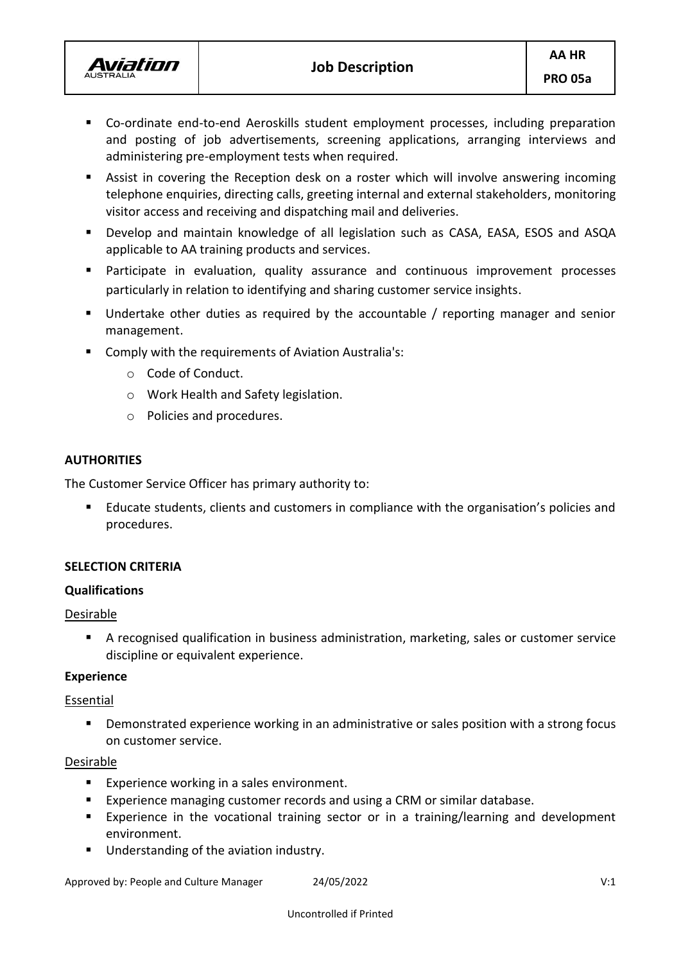

- Co-ordinate end-to-end Aeroskills student employment processes, including preparation and posting of job advertisements, screening applications, arranging interviews and administering pre-employment tests when required.
- Assist in covering the Reception desk on a roster which will involve answering incoming telephone enquiries, directing calls, greeting internal and external stakeholders, monitoring visitor access and receiving and dispatching mail and deliveries.
- Develop and maintain knowledge of all legislation such as CASA, EASA, ESOS and ASQA applicable to AA training products and services.
- Participate in evaluation, quality assurance and continuous improvement processes particularly in relation to identifying and sharing customer service insights.
- Undertake other duties as required by the accountable / reporting manager and senior management.
- Comply with the requirements of Aviation Australia's:
	- o Code of Conduct.
	- o Work Health and Safety legislation.
	- o Policies and procedures.

# **AUTHORITIES**

The Customer Service Officer has primary authority to:

Educate students, clients and customers in compliance with the organisation's policies and procedures.

# **SELECTION CRITERIA**

# **Qualifications**

# **Desirable**

■ A recognised qualification in business administration, marketing, sales or customer service discipline or equivalent experience.

# **Experience**

# **Essential**

■ Demonstrated experience working in an administrative or sales position with a strong focus on customer service.

# **Desirable**

- Experience working in a sales environment.
- Experience managing customer records and using a CRM or similar database.
- Experience in the vocational training sector or in a training/learning and development environment.
- Understanding of the aviation industry.